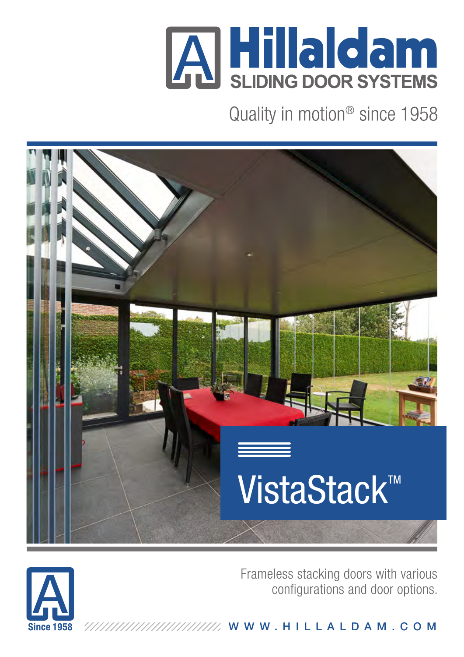

Quality in motion<sup>®</sup> since 1958





Frameless stacking doors with various configurations and door options.

WWW.HILLALDAM.COM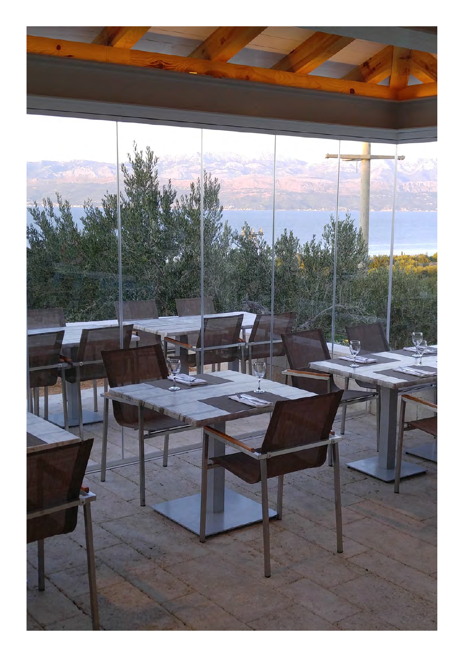

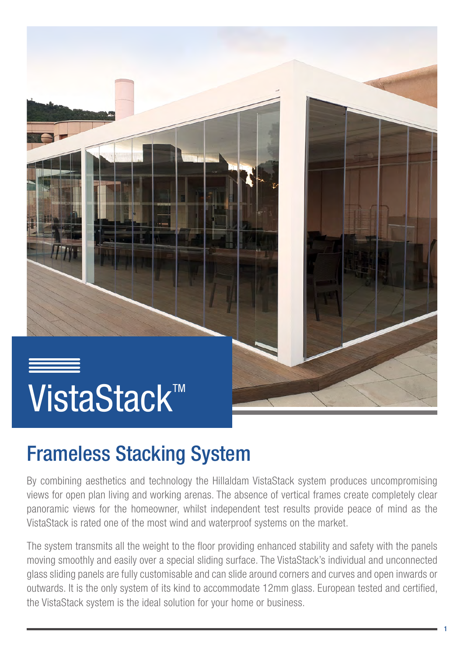# VistaStack™

### Frameless Stacking System

By combining aesthetics and technology the Hillaldam VistaStack system produces uncompromising views for open plan living and working arenas. The absence of vertical frames create completely clear panoramic views for the homeowner, whilst independent test results provide peace of mind as the VistaStack is rated one of the most wind and waterproof systems on the market.

The system transmits all the weight to the floor providing enhanced stability and safety with the panels moving smoothly and easily over a special sliding surface. The VistaStack's individual and unconnected glass sliding panels are fully customisable and can slide around corners and curves and open inwards or outwards. It is the only system of its kind to accommodate 12mm glass. European tested and certified, the VistaStack system is the ideal solution for your home or business.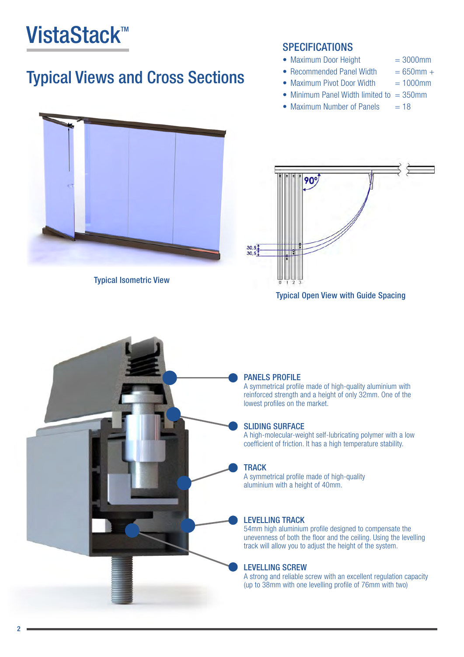## VistaStack<sup>™</sup>

### Typical Views and Cross Sections



Typical Isometric View

#### **SPECIFICATIONS**

- Maximum Door Height  $= 3000$ mm
- Recommended Panel Width  $= 650$ mm +
- Maximum Pivot Door Width  $= 1000$ mm
- Minimum Panel Width limited to  $=$  350mm
- Maximum Number of Panels  $= 18$



Typical Open View with Guide Spacing

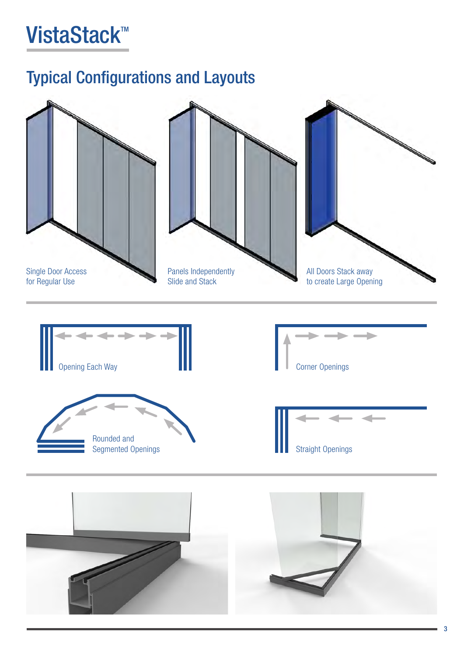## VistaStack<sup>™</sup>

### Typical Configurations and Layouts

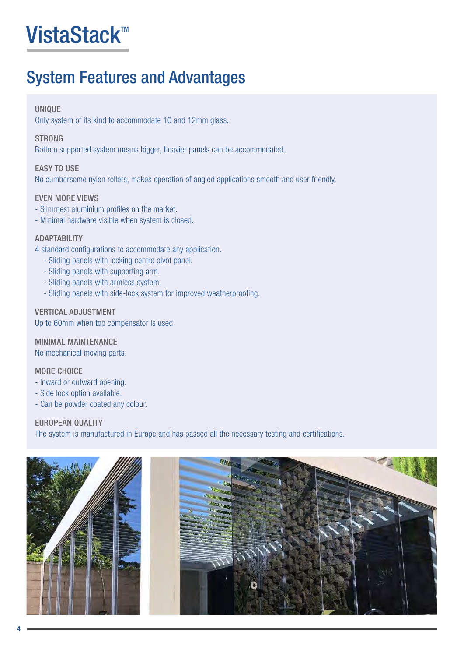## VistaStack<sup>™</sup>

### System Features and Advantages

#### UNIQUE

Only system of its kind to accommodate 10 and 12mm glass.

**STRONG** 

Bottom supported system means bigger, heavier panels can be accommodated.

EASY TO USE No cumbersome nylon rollers, makes operation of angled applications smooth and user friendly.

EVEN MORE VIEWS

- Slimmest aluminium profiles on the market.
- Minimal hardware visible when system is closed.

#### ADAPTABILITY

- 4 standard configurations to accommodate any application.
	- Sliding panels with locking centre pivot panel.
	- Sliding panels with supporting arm.
	- Sliding panels with armless system.
	- Sliding panels with side-lock system for improved weatherproofing.

VERTICAL ADJUSTMENT Up to 60mm when top compensator is used.

MINIMAL MAINTENANCE No mechanical moving parts.

MORE CHOICE

- Inward or outward opening.
- Side lock option available.
- Can be powder coated any colour.

#### EUROPEAN QUALITY

The system is manufactured in Europe and has passed all the necessary testing and certifications.

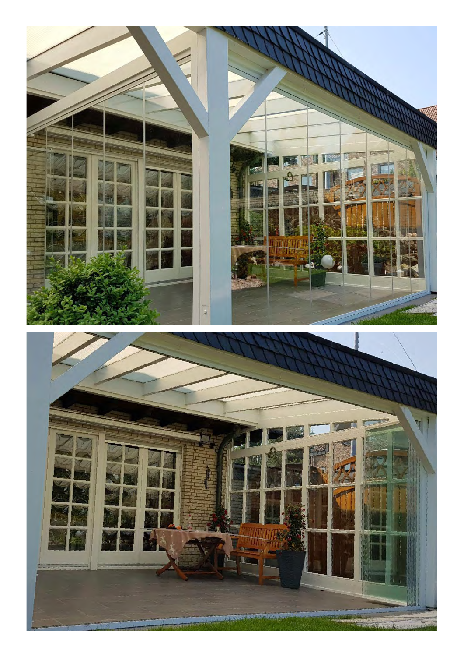